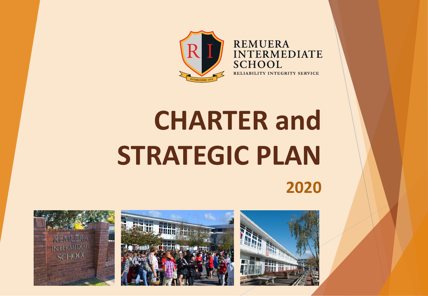

**REMUERA INTERMEDIATE SCHOOL** RELIABILITY INTEGRITY SERVICE

# **CHARTER and STRATEGIC PLAN 2020**



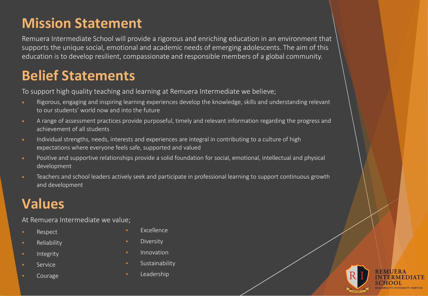### **Mission Statement**

Remuera Intermediate School will provide a rigorous and enriching education in an environment that supports the unique social, emotional and academic needs of emerging adolescents. The aim of this education is to develop resilient, compassionate and responsible members of a global community.

### **Belief Statements**

To support high quality teaching and learning at Remuera Intermediate we believe;

- Rigorous, engaging and inspiring learning experiences develop the knowledge, skills and understanding relevant to our students' world now and into the future
- A range of assessment practices provide purposeful, timely and relevant information regarding the progress and achievement of all students
- Individual strengths, needs, interests and experiences are integral in contributing to a culture of high expectations where everyone feels safe, supported and valued
- Positive and supportive relationships provide a solid foundation for social, emotional, intellectual and physical development
- Teachers and school leaders actively seek and participate in professional learning to support continuous growth and development

## **Values**

At Remuera Intermediate we value;

- § Respect
- **•** Reliability
- **Integrity**
- § Service
- § Courage
- § Excellence
- **■** Diversity
- **Innovation**
- **Sustainability**
- § Leadership

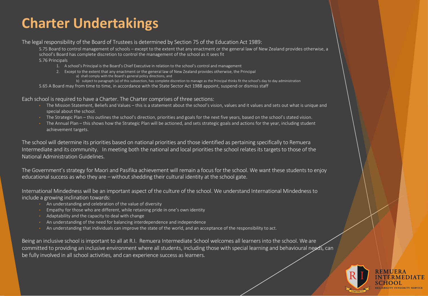### **Charter Undertakings**

The legal responsibility of the Board of Trustees is determined by Section 75 of the Education Act 1989:

S.75 Board to control management of schools – except to the extent that any enactment or the general law of New Zealand provides otherwise, a school's Board has complete discretion to control the management of the school as it sees fit S.76 Principals

- 1. A school's Principal is the Board's Chief Executive in relation to the school's control and management
- 2. Except to the extent that any enactment or the general law of New Zealand provides otherwise, the Principal a) shall comply with the Board's general policy directions, and
	- b) subject to paragraph (a) of this subsection, has complete discretion to manage as the Principal thinks fit the school's day to day administration
- S.65 A Board may from time to time, in accordance with the State Sector Act 1988 appoint, suspend or dismiss staff

Each school is required to have a Charter. The Charter comprises of three sections:

- The Mission Statement, Beliefs and Values this is a statement about the school's vision, values and it values and sets out what is unique and special about the school.
- The Strategic Plan this outlines the school's direction, priorities and goals for the next five years, based on the school's stated vision.
- The Annual Plan this shows how the Strategic Plan will be actioned, and sets strategic goals and actions for the year, including student achievement targets.

The school will determine its priorities based on national priorities and those identified as pertaining specifically to Remuera Intermediate and its community. In meeting both the national and local priorities the school relates its targets to those of the National Administration Guidelines.

The Government's strategy for Maori and Pasifika achievement will remain a focus for the school. We want these students to enjoy educational success as who they are – without shedding their cultural identity at the school gate.

International Mindedness will be an important aspect of the culture of the school. We understand International Mindedness to include a growing inclination towards:

- An understanding and celebration of the value of diversity
- Empathy for those who are different, while retaining pride in one's own identity
- Adaptability and the capacity to deal with change
- An understanding of the need for balancing interdependence and independence
- An understanding that individuals can improve the state of the world, and an acceptance of the responsibility to act.

Being an inclusive school is important to all at R.I. Remuera Intermediate School welcomes all learners into the school. We are committed to providing an inclusive environment where all students, including those with special learning and behavioural needs, can be fully involved in all school activities, and can experience success as learners.

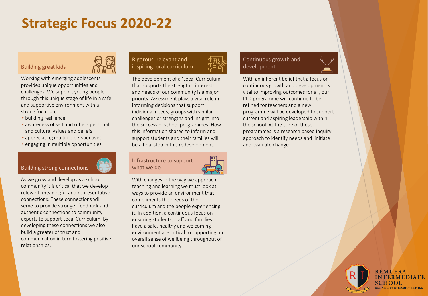### **Strategic Focus 2020-22**

#### Building great kids



Working with emerging adolescents provides unique opportunities and challenges. We support young people through this unique stage of life in a safe and supportive environment with a strong focus on;

- building resilience
- awareness of self and others personal and cultural values and beliefs
- appreciating multiple perspectives
- engaging in multiple opportunities



As we grow and develop as a school community it is critical that we develop relevant, meaningful and representative connections. These connections will serve to provide stronger feedback and authentic connections to community experts to support Local Curriculum. By developing these connections we also build a greater of trust and communication in turn fostering positive relationships.

### Rigorous, relevant and inspiring local curriculum



#### Infrastructure to support what we do



With changes in the way we approach teaching and learning we must look at ways to provide an environment that compliments the needs of the curriculum and the people experiencing it. In addition, a continuous focus on ensuring students, staff and families have a safe, healthy and welcoming environment are critical to supporting an overall sense of wellbeing throughout of our school community.

#### Continuous growth and development



With an inherent belief that a focus on continuous growth and development Is vital to improving outcomes for all, our PLD programme will continue to be refined for teachers and a new programme will be developed to support current and aspiring leadership within the school. At the core of these programmes is a research based inquiry approach to identify needs and initiate and evaluate change